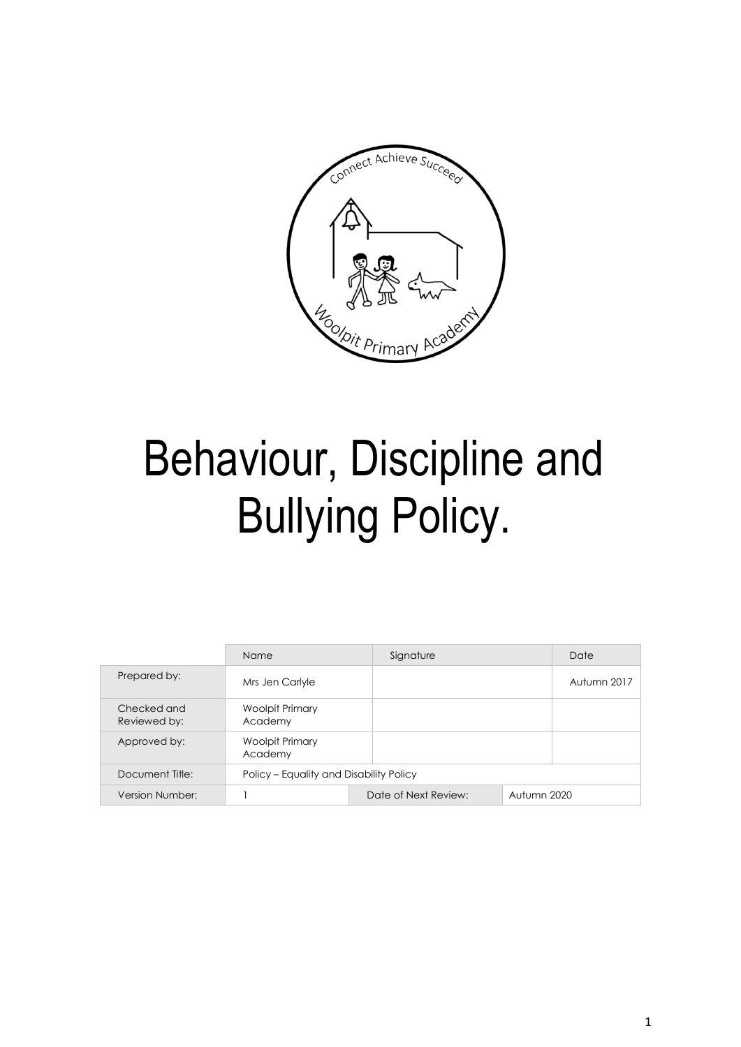

# Behaviour, Discipline and Bullying Policy.

|                             | Name                                    | Signature            |             | Date        |  |
|-----------------------------|-----------------------------------------|----------------------|-------------|-------------|--|
| Prepared by:                | Mrs Jen Carlyle                         |                      |             | Autumn 2017 |  |
| Checked and<br>Reviewed by: | Woolpit Primary<br>Academy              |                      |             |             |  |
| Approved by:                | Woolpit Primary<br>Academy              |                      |             |             |  |
| Document Title:             | Policy - Equality and Disability Policy |                      |             |             |  |
| Version Number:             |                                         | Date of Next Review: | Autumn 2020 |             |  |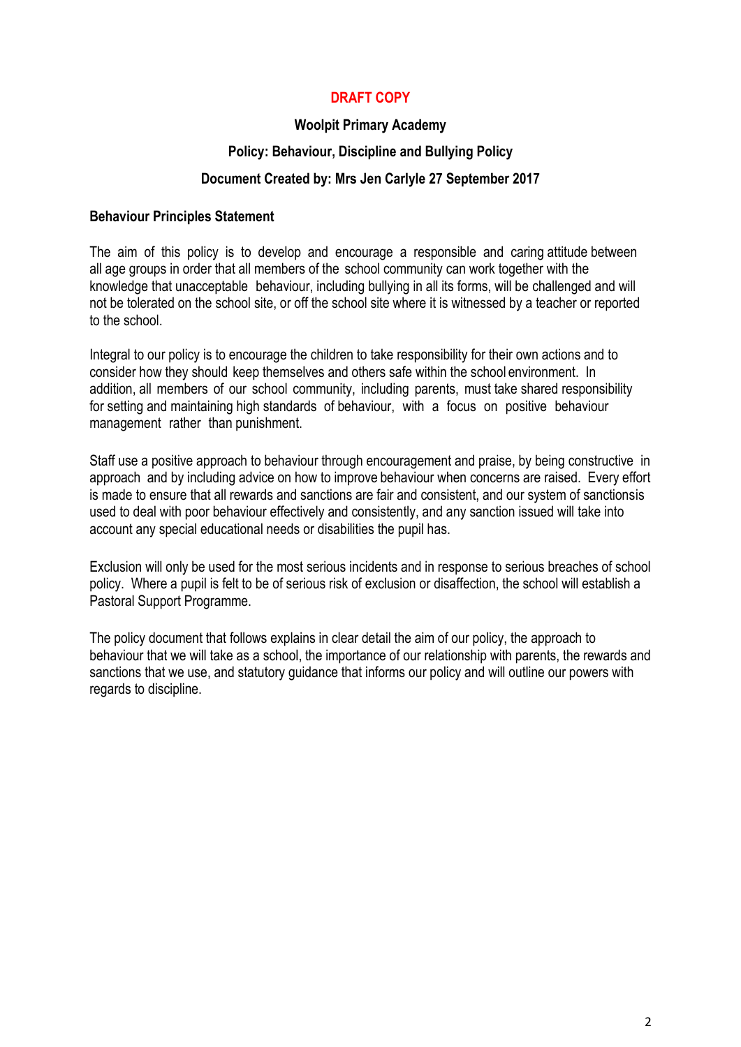# **DRAFT COPY**

## **Woolpit Primary Academy**

#### **Policy: Behaviour, Discipline and Bullying Policy**

## **Document Created by: Mrs Jen Carlyle 27 September 2017**

#### **Behaviour Principles Statement**

The aim of this policy is to develop and encourage a responsible and caring attitude between all age groups in order that all members of the school community can work together with the knowledge that unacceptable behaviour, including bullying in all its forms, will be challenged and will not be tolerated on the school site, or off the school site where it is witnessed by a teacher or reported to the school.

Integral to our policy is to encourage the children to take responsibility for their own actions and to consider how they should keep themselves and others safe within the school environment. In addition, all members of our school community, including parents, must take shared responsibility for setting and maintaining high standards of behaviour, with a focus on positive behaviour management rather than punishment.

Staff use a positive approach to behaviour through encouragement and praise, by being constructive in approach and by including advice on how to improve behaviour when concerns are raised. Every effort is made to ensure that all rewards and sanctions are fair and consistent, and our system of sanctionsis used to deal with poor behaviour effectively and consistently, and any sanction issued will take into account any special educational needs or disabilities the pupil has.

Exclusion will only be used for the most serious incidents and in response to serious breaches of school policy. Where a pupil is felt to be of serious risk of exclusion or disaffection, the school will establish a Pastoral Support Programme.

The policy document that follows explains in clear detail the aim of our policy, the approach to behaviour that we will take as a school, the importance of our relationship with parents, the rewards and sanctions that we use, and statutory guidance that informs our policy and will outline our powers with regards to discipline.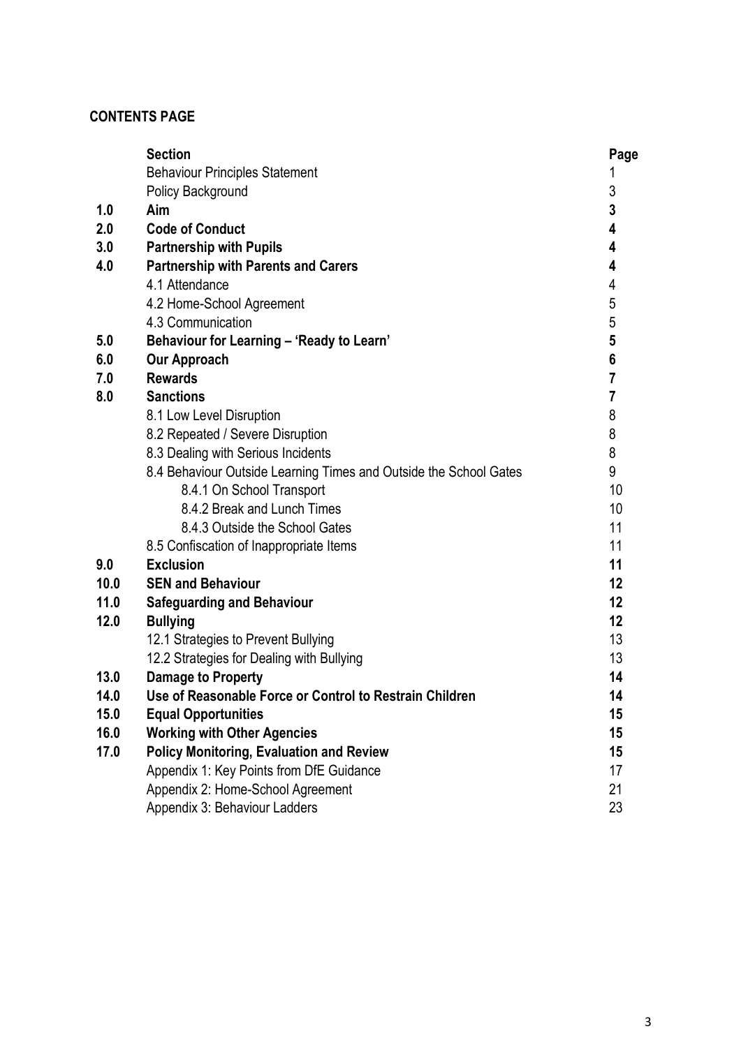# **CONTENTS PAGE**

|      | <b>Section</b>                                                    | Page                    |
|------|-------------------------------------------------------------------|-------------------------|
|      | <b>Behaviour Principles Statement</b>                             |                         |
|      | Policy Background                                                 | 3                       |
| 1.0  | Aim                                                               | 3                       |
| 2.0  | <b>Code of Conduct</b>                                            | 4                       |
| 3.0  | <b>Partnership with Pupils</b>                                    | 4                       |
| 4.0  | <b>Partnership with Parents and Carers</b>                        | 4                       |
|      | 4.1 Attendance                                                    | 4                       |
|      | 4.2 Home-School Agreement                                         | 5                       |
|      | 4.3 Communication                                                 | 5                       |
| 5.0  | Behaviour for Learning - 'Ready to Learn'                         | 5                       |
| 6.0  | <b>Our Approach</b>                                               | 6                       |
| 7.0  | <b>Rewards</b>                                                    | $\overline{7}$          |
| 8.0  | <b>Sanctions</b>                                                  | $\overline{\mathbf{r}}$ |
|      | 8.1 Low Level Disruption                                          | 8                       |
|      | 8.2 Repeated / Severe Disruption                                  | 8                       |
|      | 8.3 Dealing with Serious Incidents                                | 8                       |
|      | 8.4 Behaviour Outside Learning Times and Outside the School Gates | 9                       |
|      | 8.4.1 On School Transport                                         | 10                      |
|      | 8.4.2 Break and Lunch Times                                       | 10                      |
|      | 8.4.3 Outside the School Gates                                    | 11                      |
|      | 8.5 Confiscation of Inappropriate Items                           | 11                      |
| 9.0  | <b>Exclusion</b>                                                  | 11                      |
| 10.0 | <b>SEN and Behaviour</b>                                          | 12                      |
| 11.0 | <b>Safeguarding and Behaviour</b>                                 | 12                      |
| 12.0 | <b>Bullying</b>                                                   | 12                      |
|      | 12.1 Strategies to Prevent Bullying                               | 13                      |
|      | 12.2 Strategies for Dealing with Bullying                         | 13                      |
| 13.0 | Damage to Property                                                | 14                      |
| 14.0 | Use of Reasonable Force or Control to Restrain Children           | 14                      |
| 15.0 | <b>Equal Opportunities</b>                                        | 15                      |
| 16.0 | <b>Working with Other Agencies</b>                                | 15                      |
| 17.0 | <b>Policy Monitoring, Evaluation and Review</b>                   | 15                      |
|      | Appendix 1: Key Points from DfE Guidance                          | 17                      |
|      | Appendix 2: Home-School Agreement                                 | 21                      |
|      | Appendix 3: Behaviour Ladders                                     | 23                      |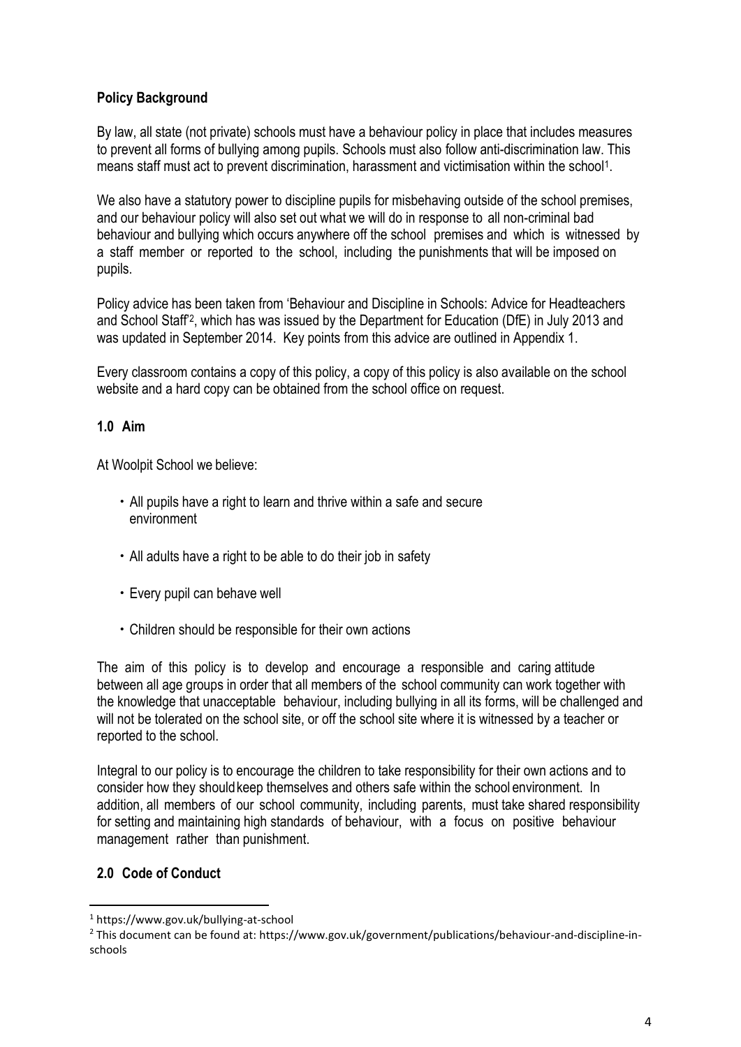# **Policy Background**

By law, all state (not private) schools must have a behaviour policy in place that includes measures to prevent all forms of bullying among pupils. Schools must also follow anti-discrimination law. This means staff must act to prevent discrimination, harassment and victimisation within the school<sup>1</sup>.

We also have a statutory power to discipline pupils for misbehaving outside of the school premises, and our behaviour policy will also set out what we will do in response to all non-criminal bad behaviour and bullying which occurs anywhere off the school premises and which is witnessed by a staff member or reported to the school, including the punishments that will be imposed on pupils.

Policy advice has been taken from 'Behaviour and Discipline in Schools: Advice for Headteachers and School Staff'<sup>2</sup> , which has was issued by the Department for Education (DfE) in July 2013 and was updated in September 2014. Key points from this advice are outlined in Appendix 1.

Every classroom contains a copy of this policy, a copy of this policy is also available on the school website and a hard copy can be obtained from the school office on request.

# **1.0 Aim**

At Woolpit School we believe:

- All pupils have a right to learn and thrive within a safe and secure environment
- All adults have a right to be able to do their job in safety
- Every pupil can behave well
- Children should be responsible for their own actions

The aim of this policy is to develop and encourage a responsible and caring attitude between all age groups in order that all members of the school community can work together with the knowledge that unacceptable behaviour, including bullying in all its forms, will be challenged and will not be tolerated on the school site, or off the school site where it is witnessed by a teacher or reported to the school.

Integral to our policy is to encourage the children to take responsibility for their own actions and to consider how they shouldkeep themselves and others safe within the school environment. In addition, all members of our school community, including parents, must take shared responsibility for setting and maintaining high standards of behaviour, with a focus on positive behaviour management rather than punishment.

## **2.0 Code of Conduct**

 $\overline{\phantom{a}}$ 

<sup>1</sup> https://www.gov.uk/bullying-at-school

<sup>2</sup> This document can be found at: https://www.gov.uk/government/publications/behaviour-and-discipline-inschools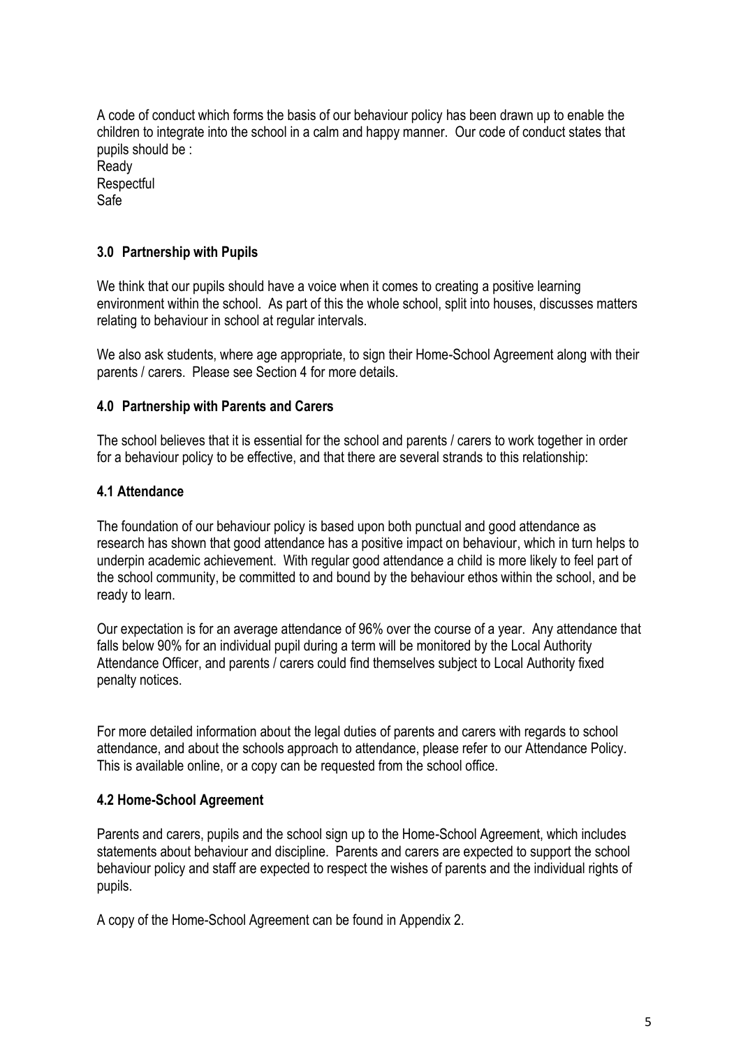A code of conduct which forms the basis of our behaviour policy has been drawn up to enable the children to integrate into the school in a calm and happy manner. Our code of conduct states that pupils should be : Ready **Respectful** Safe

# **3.0 Partnership with Pupils**

We think that our pupils should have a voice when it comes to creating a positive learning environment within the school. As part of this the whole school, split into houses, discusses matters relating to behaviour in school at regular intervals.

We also ask students, where age appropriate, to sign their Home-School Agreement along with their parents / carers. Please see Section 4 for more details.

#### **4.0 Partnership with Parents and Carers**

The school believes that it is essential for the school and parents / carers to work together in order for a behaviour policy to be effective, and that there are several strands to this relationship:

#### **4.1 Attendance**

The foundation of our behaviour policy is based upon both punctual and good attendance as research has shown that good attendance has a positive impact on behaviour, which in turn helps to underpin academic achievement. With regular good attendance a child is more likely to feel part of the school community, be committed to and bound by the behaviour ethos within the school, and be ready to learn.

Our expectation is for an average attendance of 96% over the course of a year. Any attendance that falls below 90% for an individual pupil during a term will be monitored by the Local Authority Attendance Officer, and parents / carers could find themselves subject to Local Authority fixed penalty notices.

For more detailed information about the legal duties of parents and carers with regards to school attendance, and about the schools approach to attendance, please refer to our Attendance Policy. This is available online, or a copy can be requested from the school office.

## **4.2 Home-School Agreement**

Parents and carers, pupils and the school sign up to the Home-School Agreement, which includes statements about behaviour and discipline. Parents and carers are expected to support the school behaviour policy and staff are expected to respect the wishes of parents and the individual rights of pupils.

A copy of the Home-School Agreement can be found in Appendix 2.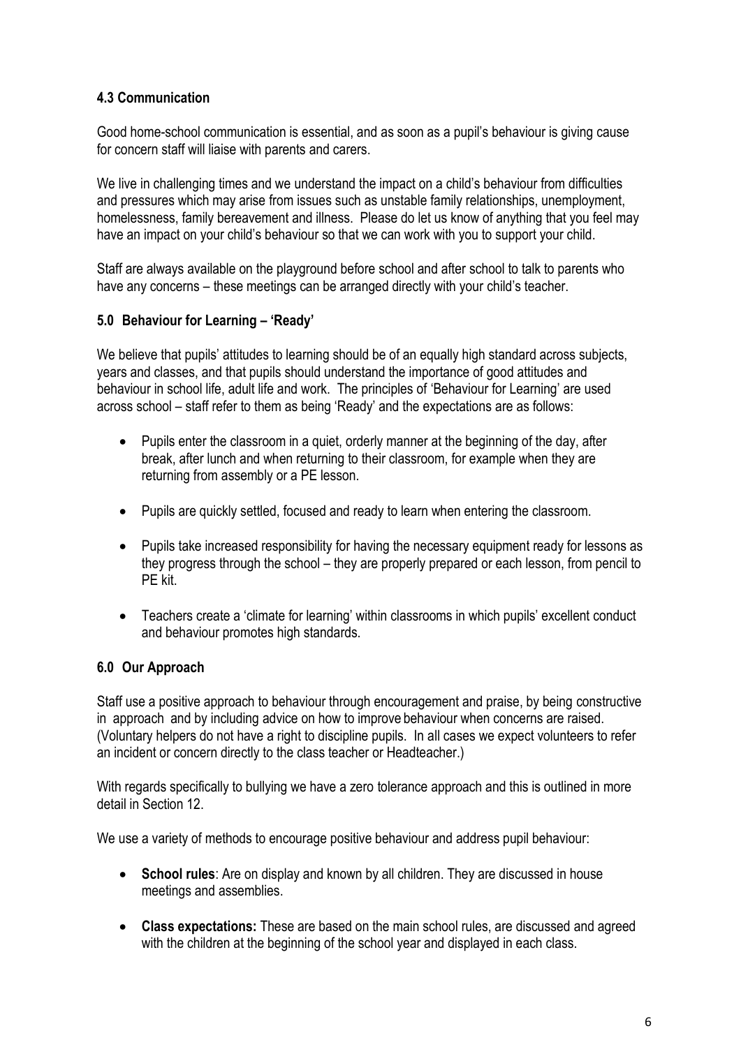# **4.3 Communication**

Good home-school communication is essential, and as soon as a pupil's behaviour is giving cause for concern staff will liaise with parents and carers.

We live in challenging times and we understand the impact on a child's behaviour from difficulties and pressures which may arise from issues such as unstable family relationships, unemployment, homelessness, family bereavement and illness. Please do let us know of anything that you feel may have an impact on your child's behaviour so that we can work with you to support your child.

Staff are always available on the playground before school and after school to talk to parents who have any concerns – these meetings can be arranged directly with your child's teacher.

# **5.0 Behaviour for Learning – 'Ready'**

We believe that pupils' attitudes to learning should be of an equally high standard across subjects, years and classes, and that pupils should understand the importance of good attitudes and behaviour in school life, adult life and work. The principles of 'Behaviour for Learning' are used across school – staff refer to them as being 'Ready' and the expectations are as follows:

- Pupils enter the classroom in a quiet, orderly manner at the beginning of the day, after break, after lunch and when returning to their classroom, for example when they are returning from assembly or a PE lesson.
- Pupils are quickly settled, focused and ready to learn when entering the classroom.
- Pupils take increased responsibility for having the necessary equipment ready for lessons as they progress through the school – they are properly prepared or each lesson, from pencil to PE kit.
- Teachers create a 'climate for learning' within classrooms in which pupils' excellent conduct and behaviour promotes high standards.

## **6.0 Our Approach**

Staff use a positive approach to behaviour through encouragement and praise, by being constructive in approach and by including advice on how to improve behaviour when concerns are raised. (Voluntary helpers do not have a right to discipline pupils. In all cases we expect volunteers to refer an incident or concern directly to the class teacher or Headteacher.)

With regards specifically to bullying we have a zero tolerance approach and this is outlined in more detail in Section 12.

We use a variety of methods to encourage positive behaviour and address pupil behaviour:

- **School rules**: Are on display and known by all children. They are discussed in house meetings and assemblies.
- **Class expectations:** These are based on the main school rules, are discussed and agreed with the children at the beginning of the school year and displayed in each class.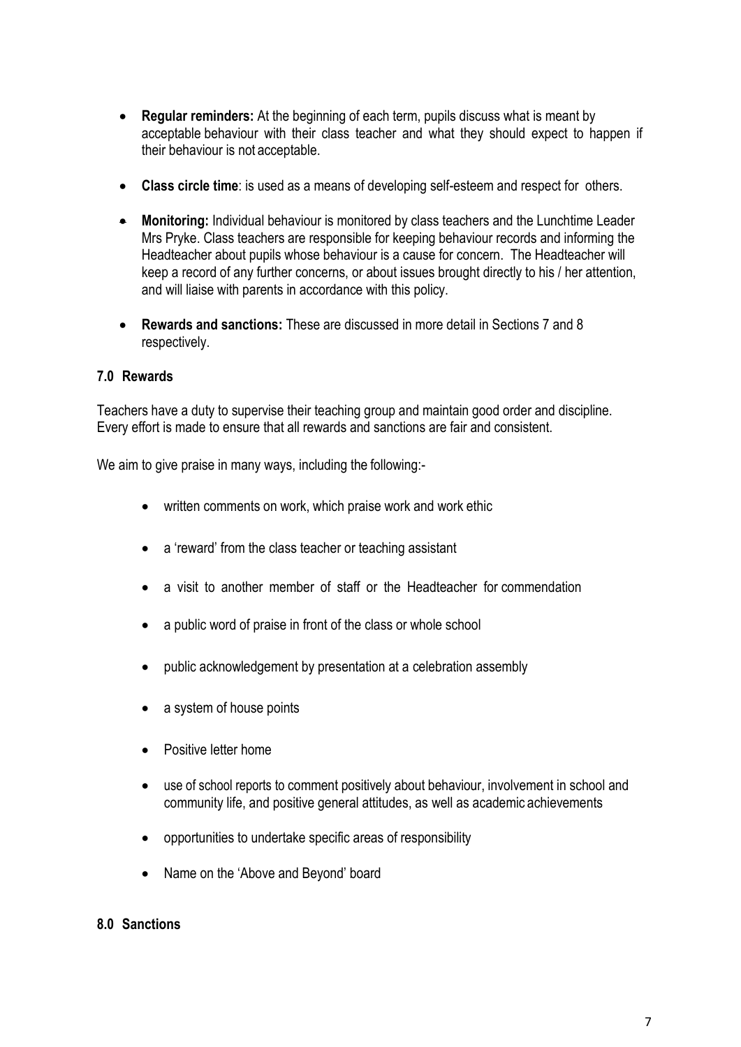- **Regular reminders:** At the beginning of each term, pupils discuss what is meant by acceptable behaviour with their class teacher and what they should expect to happen if their behaviour is not acceptable.
- **Class circle time**: is used as a means of developing self-esteem and respect for others.
- **Monitoring:** Individual behaviour is monitored by class teachers and the Lunchtime Leader Mrs Pryke. Class teachers are responsible for keeping behaviour records and informing the Headteacher about pupils whose behaviour is a cause for concern. The Headteacher will keep a record of any further concerns, or about issues brought directly to his / her attention, and will liaise with parents in accordance with this policy.
- **Rewards and sanctions:** These are discussed in more detail in Sections 7 and 8 respectively.

## **7.0 Rewards**

Teachers have a duty to supervise their teaching group and maintain good order and discipline. Every effort is made to ensure that all rewards and sanctions are fair and consistent.

We aim to give praise in many ways, including the following:-

- written comments on work, which praise work and work ethic
- a 'reward' from the class teacher or teaching assistant
- a visit to another member of staff or the Headteacher for commendation
- a public word of praise in front of the class or whole school
- public acknowledgement by presentation at a celebration assembly
- a system of house points
- Positive letter home
- use of school reports to comment positively about behaviour, involvement in school and community life, and positive general attitudes, as well as academic achievements
- opportunities to undertake specific areas of responsibility
- Name on the 'Above and Beyond' board

## **8.0 Sanctions**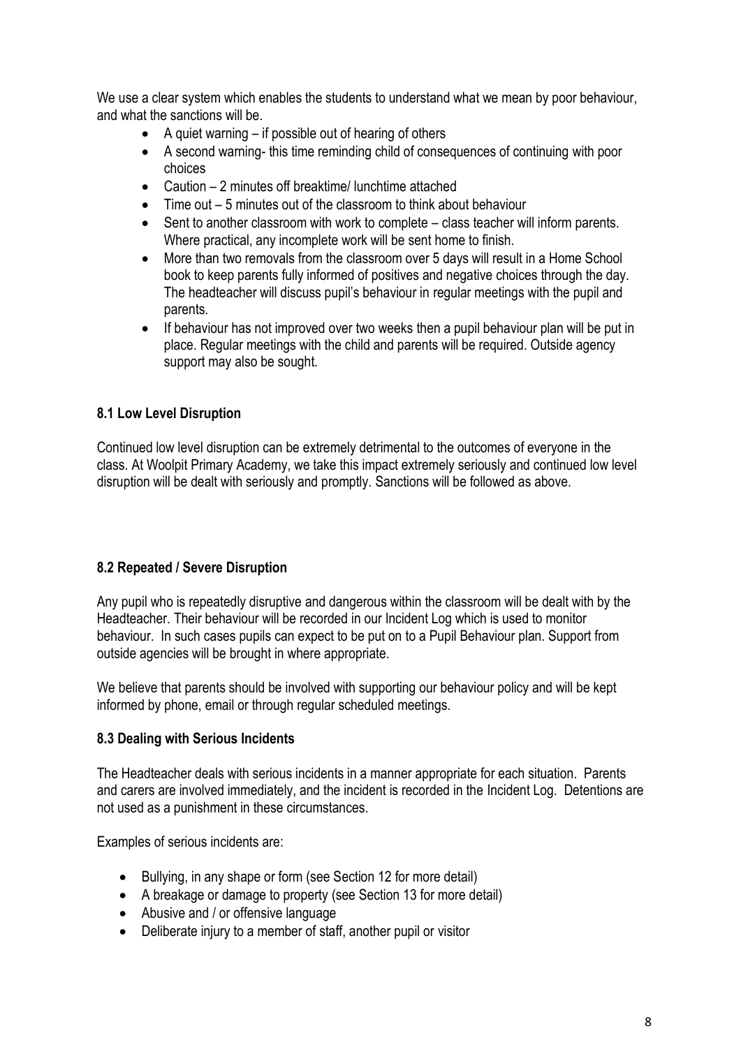We use a clear system which enables the students to understand what we mean by poor behaviour, and what the sanctions will be.

- $\bullet$  A quiet warning if possible out of hearing of others
- A second warning- this time reminding child of consequences of continuing with poor choices
- Caution 2 minutes off breaktime/ lunchtime attached
- Time out 5 minutes out of the classroom to think about behaviour
- Sent to another classroom with work to complete class teacher will inform parents. Where practical, any incomplete work will be sent home to finish.
- More than two removals from the classroom over 5 days will result in a Home School book to keep parents fully informed of positives and negative choices through the day. The headteacher will discuss pupil's behaviour in regular meetings with the pupil and parents.
- If behaviour has not improved over two weeks then a pupil behaviour plan will be put in place. Regular meetings with the child and parents will be required. Outside agency support may also be sought.

# **8.1 Low Level Disruption**

Continued low level disruption can be extremely detrimental to the outcomes of everyone in the class. At Woolpit Primary Academy, we take this impact extremely seriously and continued low level disruption will be dealt with seriously and promptly. Sanctions will be followed as above.

## **8.2 Repeated / Severe Disruption**

Any pupil who is repeatedly disruptive and dangerous within the classroom will be dealt with by the Headteacher. Their behaviour will be recorded in our Incident Log which is used to monitor behaviour. In such cases pupils can expect to be put on to a Pupil Behaviour plan. Support from outside agencies will be brought in where appropriate.

We believe that parents should be involved with supporting our behaviour policy and will be kept informed by phone, email or through regular scheduled meetings.

## **8.3 Dealing with Serious Incidents**

The Headteacher deals with serious incidents in a manner appropriate for each situation. Parents and carers are involved immediately, and the incident is recorded in the Incident Log. Detentions are not used as a punishment in these circumstances.

Examples of serious incidents are:

- Bullying, in any shape or form (see Section 12 for more detail)
- A breakage or damage to property (see Section 13 for more detail)
- Abusive and / or offensive language
- Deliberate injury to a member of staff, another pupil or visitor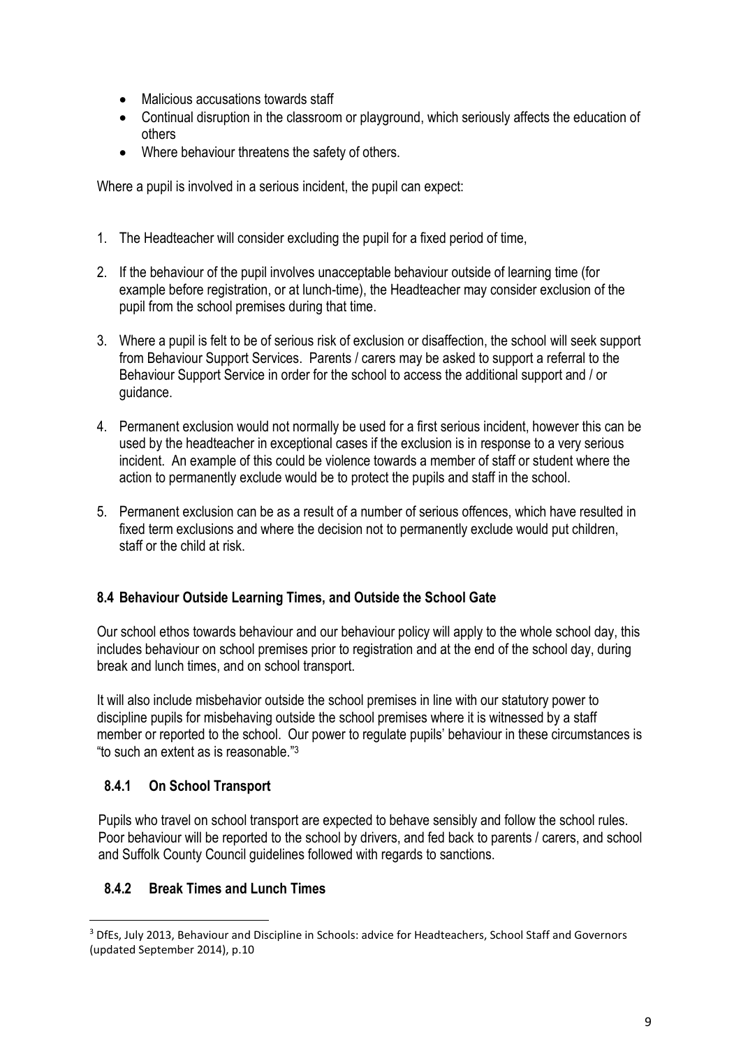- Malicious accusations towards staff
- Continual disruption in the classroom or playground, which seriously affects the education of others
- Where behaviour threatens the safety of others.

Where a pupil is involved in a serious incident, the pupil can expect:

- 1. The Headteacher will consider excluding the pupil for a fixed period of time,
- 2. If the behaviour of the pupil involves unacceptable behaviour outside of learning time (for example before registration, or at lunch-time), the Headteacher may consider exclusion of the pupil from the school premises during that time.
- 3. Where a pupil is felt to be of serious risk of exclusion or disaffection, the school will seek support from Behaviour Support Services. Parents / carers may be asked to support a referral to the Behaviour Support Service in order for the school to access the additional support and / or guidance.
- 4. Permanent exclusion would not normally be used for a first serious incident, however this can be used by the headteacher in exceptional cases if the exclusion is in response to a very serious incident. An example of this could be violence towards a member of staff or student where the action to permanently exclude would be to protect the pupils and staff in the school.
- 5. Permanent exclusion can be as a result of a number of serious offences, which have resulted in fixed term exclusions and where the decision not to permanently exclude would put children, staff or the child at risk.

# **8.4 Behaviour Outside Learning Times, and Outside the School Gate**

Our school ethos towards behaviour and our behaviour policy will apply to the whole school day, this includes behaviour on school premises prior to registration and at the end of the school day, during break and lunch times, and on school transport.

It will also include misbehavior outside the school premises in line with our statutory power to discipline pupils for misbehaving outside the school premises where it is witnessed by a staff member or reported to the school. Our power to regulate pupils' behaviour in these circumstances is "to such an extent as is reasonable."<sup>3</sup>

# **8.4.1 On School Transport**

 $\overline{a}$ 

Pupils who travel on school transport are expected to behave sensibly and follow the school rules. Poor behaviour will be reported to the school by drivers, and fed back to parents / carers, and school and Suffolk County Council guidelines followed with regards to sanctions.

# **8.4.2 Break Times and Lunch Times**

<sup>&</sup>lt;sup>3</sup> DfEs, July 2013, Behaviour and Discipline in Schools: advice for Headteachers, School Staff and Governors (updated September 2014), p.10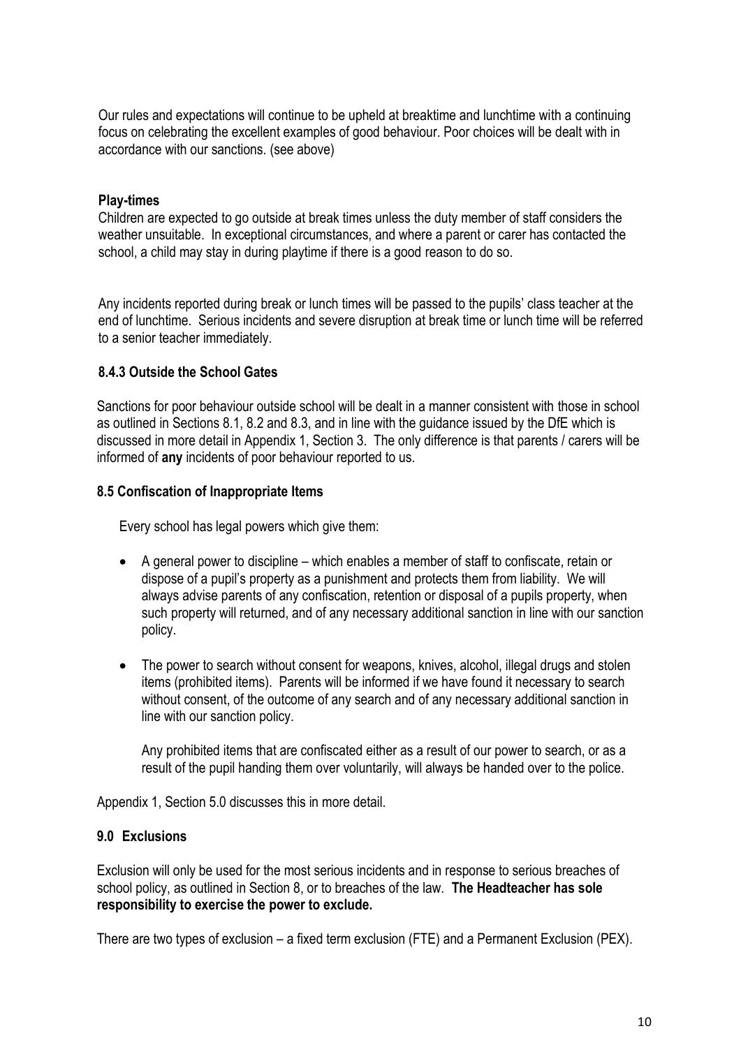Our rules and expectations will continue to be upheld at breaktime and lunchtime with a continuing focus on celebrating the excellent examples of good behaviour. Poor choices will be dealt with in accordance with our sanctions. (see above)

## **Play-times**

Children are expected to go outside at break times unless the duty member of staff considers the weather unsuitable. In exceptional circumstances, and where a parent or carer has contacted the school, a child may stay in during playtime if there is a good reason to do so.

Any incidents reported during break or lunch times will be passed to the pupils' class teacher at the end of lunchtime. Serious incidents and severe disruption at break time or lunch time will be referred to a senior teacher immediately.

#### **8.4.3 Outside the School Gates**

Sanctions for poor behaviour outside school will be dealt in a manner consistent with those in school as outlined in Sections 8.1, 8.2 and 8.3, and in line with the guidance issued by the DfE which is discussed in more detail in Appendix 1, Section 3. The only difference is that parents / carers will be informed of **any** incidents of poor behaviour reported to us.

#### **8.5 Confiscation of Inappropriate Items**

Every school has legal powers which give them:

- A general power to discipline which enables a member of staff to confiscate, retain or dispose of a pupil's property as a punishment and protects them from liability. We will always advise parents of any confiscation, retention or disposal of a pupils property, when such property will returned, and of any necessary additional sanction in line with our sanction policy.
- The power to search without consent for weapons, knives, alcohol, illegal drugs and stolen items (prohibited items). Parents will be informed if we have found it necessary to search without consent, of the outcome of any search and of any necessary additional sanction in line with our sanction policy.

Any prohibited items that are confiscated either as a result of our power to search, or as a result of the pupil handing them over voluntarily, will always be handed over to the police.

Appendix 1, Section 5.0 discusses this in more detail.

#### **9.0 Exclusions**

Exclusion will only be used for the most serious incidents and in response to serious breaches of school policy, as outlined in Section 8, or to breaches of the law. **The Headteacher has sole responsibility to exercise the power to exclude.**

There are two types of exclusion – a fixed term exclusion (FTE) and a Permanent Exclusion (PEX).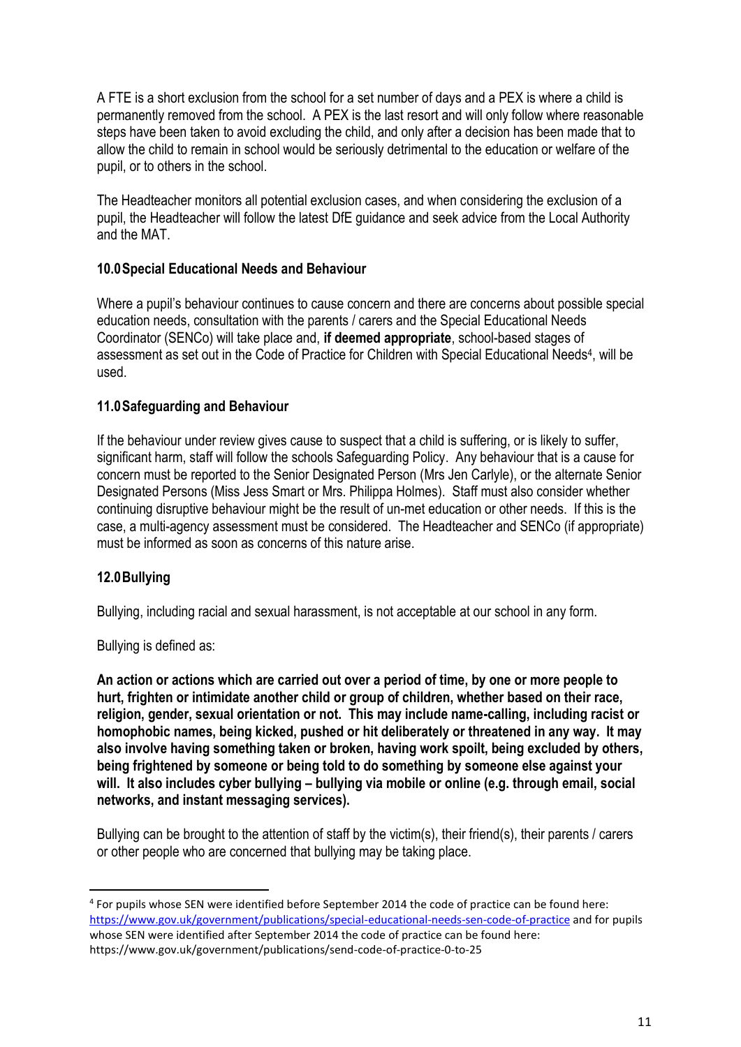A FTE is a short exclusion from the school for a set number of days and a PEX is where a child is permanently removed from the school. A PEX is the last resort and will only follow where reasonable steps have been taken to avoid excluding the child, and only after a decision has been made that to allow the child to remain in school would be seriously detrimental to the education or welfare of the pupil, or to others in the school.

The Headteacher monitors all potential exclusion cases, and when considering the exclusion of a pupil, the Headteacher will follow the latest DfE guidance and seek advice from the Local Authority and the MAT.

# **10.0Special Educational Needs and Behaviour**

Where a pupil's behaviour continues to cause concern and there are concerns about possible special education needs, consultation with the parents / carers and the Special Educational Needs Coordinator (SENCo) will take place and, **if deemed appropriate**, school-based stages of assessment as set out in the Code of Practice for Children with Special Educational Needs<sup>4</sup>, will be used.

# **11.0Safeguarding and Behaviour**

If the behaviour under review gives cause to suspect that a child is suffering, or is likely to suffer, significant harm, staff will follow the schools Safeguarding Policy. Any behaviour that is a cause for concern must be reported to the Senior Designated Person (Mrs Jen Carlyle), or the alternate Senior Designated Persons (Miss Jess Smart or Mrs. Philippa Holmes). Staff must also consider whether continuing disruptive behaviour might be the result of un-met education or other needs. If this is the case, a multi-agency assessment must be considered. The Headteacher and SENCo (if appropriate) must be informed as soon as concerns of this nature arise.

# **12.0Bullying**

 $\overline{a}$ 

Bullying, including racial and sexual harassment, is not acceptable at our school in any form.

Bullying is defined as:

**An action or actions which are carried out over a period of time, by one or more people to hurt, frighten or intimidate another child or group of children, whether based on their race, religion, gender, sexual orientation or not. This may include name-calling, including racist or homophobic names, being kicked, pushed or hit deliberately or threatened in any way. It may also involve having something taken or broken, having work spoilt, being excluded by others, being frightened by someone or being told to do something by someone else against your will. It also includes cyber bullying – bullying via mobile or online (e.g. through email, social networks, and instant messaging services).**

Bullying can be brought to the attention of staff by the victim(s), their friend(s), their parents / carers or other people who are concerned that bullying may be taking place.

<sup>4</sup> For pupils whose SEN were identified before September 2014 the code of practice can be found here: <https://www.gov.uk/government/publications/special-educational-needs-sen-code-of-practice> and for pupils whose SEN were identified after September 2014 the code of practice can be found here: https://www.gov.uk/government/publications/send-code-of-practice-0-to-25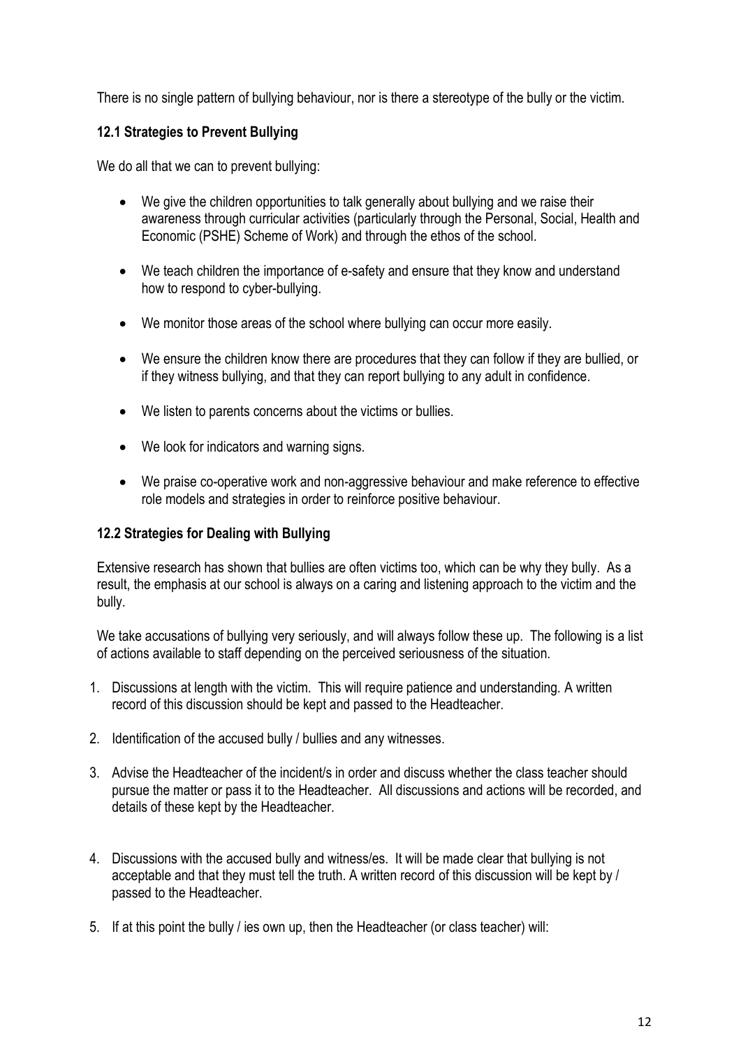There is no single pattern of bullying behaviour, nor is there a stereotype of the bully or the victim.

# **12.1 Strategies to Prevent Bullying**

We do all that we can to prevent bullying:

- We give the children opportunities to talk generally about bullying and we raise their awareness through curricular activities (particularly through the Personal, Social, Health and Economic (PSHE) Scheme of Work) and through the ethos of the school.
- We teach children the importance of e-safety and ensure that they know and understand how to respond to cyber-bullying.
- We monitor those areas of the school where bullying can occur more easily.
- We ensure the children know there are procedures that they can follow if they are bullied, or if they witness bullying, and that they can report bullying to any adult in confidence.
- We listen to parents concerns about the victims or bullies.
- We look for indicators and warning signs.
- We praise co-operative work and non-aggressive behaviour and make reference to effective role models and strategies in order to reinforce positive behaviour.

# **12.2 Strategies for Dealing with Bullying**

Extensive research has shown that bullies are often victims too, which can be why they bully. As a result, the emphasis at our school is always on a caring and listening approach to the victim and the bully.

We take accusations of bullying very seriously, and will always follow these up. The following is a list of actions available to staff depending on the perceived seriousness of the situation.

- 1. Discussions at length with the victim. This will require patience and understanding. A written record of this discussion should be kept and passed to the Headteacher.
- 2. Identification of the accused bully / bullies and any witnesses.
- 3. Advise the Headteacher of the incident/s in order and discuss whether the class teacher should pursue the matter or pass it to the Headteacher. All discussions and actions will be recorded, and details of these kept by the Headteacher.
- 4. Discussions with the accused bully and witness/es. It will be made clear that bullying is not acceptable and that they must tell the truth. A written record of this discussion will be kept by / passed to the Headteacher.
- 5. If at this point the bully / ies own up, then the Headteacher (or class teacher) will: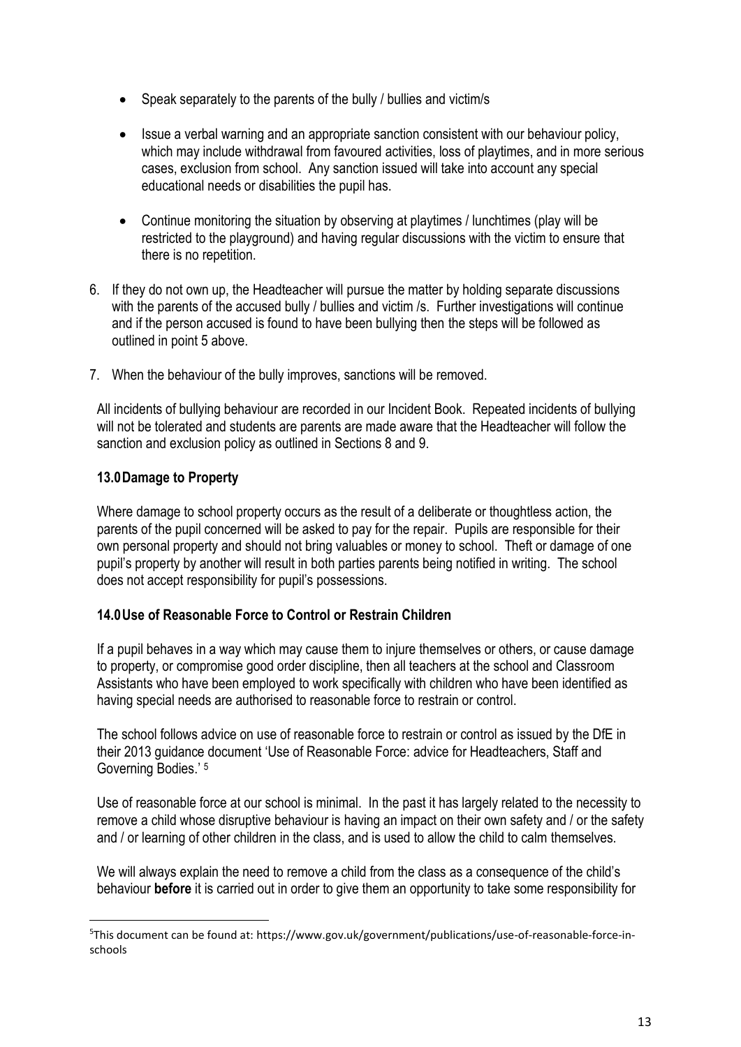- Speak separately to the parents of the bully / bullies and victim/s
- Issue a verbal warning and an appropriate sanction consistent with our behaviour policy, which may include withdrawal from favoured activities, loss of playtimes, and in more serious cases, exclusion from school. Any sanction issued will take into account any special educational needs or disabilities the pupil has.
- Continue monitoring the situation by observing at playtimes / lunchtimes (play will be restricted to the playground) and having regular discussions with the victim to ensure that there is no repetition.
- 6. If they do not own up, the Headteacher will pursue the matter by holding separate discussions with the parents of the accused bully / bullies and victim /s. Further investigations will continue and if the person accused is found to have been bullying then the steps will be followed as outlined in point 5 above.
- 7. When the behaviour of the bully improves, sanctions will be removed.

All incidents of bullying behaviour are recorded in our Incident Book. Repeated incidents of bullying will not be tolerated and students are parents are made aware that the Headteacher will follow the sanction and exclusion policy as outlined in Sections 8 and 9.

# **13.0Damage to Property**

 $\overline{a}$ 

Where damage to school property occurs as the result of a deliberate or thoughtless action, the parents of the pupil concerned will be asked to pay for the repair. Pupils are responsible for their own personal property and should not bring valuables or money to school. Theft or damage of one pupil's property by another will result in both parties parents being notified in writing. The school does not accept responsibility for pupil's possessions.

## **14.0Use of Reasonable Force to Control or Restrain Children**

If a pupil behaves in a way which may cause them to injure themselves or others, or cause damage to property, or compromise good order discipline, then all teachers at the school and Classroom Assistants who have been employed to work specifically with children who have been identified as having special needs are authorised to reasonable force to restrain or control.

The school follows advice on use of reasonable force to restrain or control as issued by the DfE in their 2013 guidance document 'Use of Reasonable Force: advice for Headteachers, Staff and Governing Bodies.' <sup>5</sup>

Use of reasonable force at our school is minimal. In the past it has largely related to the necessity to remove a child whose disruptive behaviour is having an impact on their own safety and / or the safety and / or learning of other children in the class, and is used to allow the child to calm themselves.

We will always explain the need to remove a child from the class as a consequence of the child's behaviour **before** it is carried out in order to give them an opportunity to take some responsibility for

<sup>5</sup>This document can be found at: https://www.gov.uk/government/publications/use-of-reasonable-force-inschools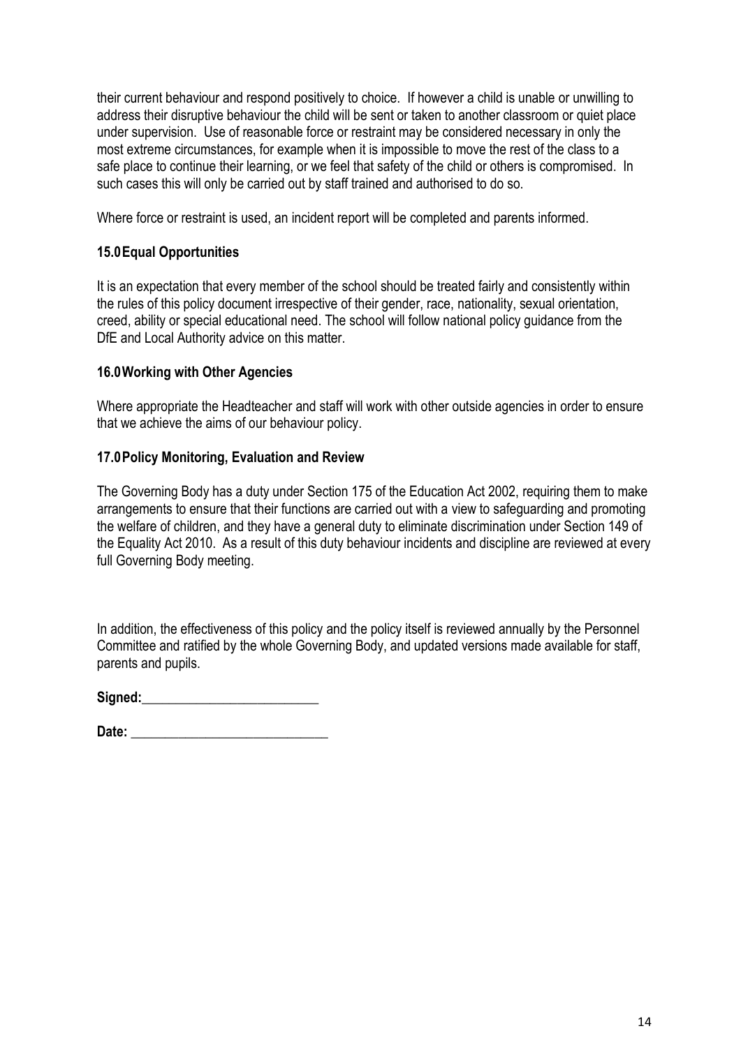their current behaviour and respond positively to choice. If however a child is unable or unwilling to address their disruptive behaviour the child will be sent or taken to another classroom or quiet place under supervision. Use of reasonable force or restraint may be considered necessary in only the most extreme circumstances, for example when it is impossible to move the rest of the class to a safe place to continue their learning, or we feel that safety of the child or others is compromised. In such cases this will only be carried out by staff trained and authorised to do so.

Where force or restraint is used, an incident report will be completed and parents informed.

# **15.0Equal Opportunities**

It is an expectation that every member of the school should be treated fairly and consistently within the rules of this policy document irrespective of their gender, race, nationality, sexual orientation, creed, ability or special educational need. The school will follow national policy guidance from the DfE and Local Authority advice on this matter.

## **16.0Working with Other Agencies**

Where appropriate the Headteacher and staff will work with other outside agencies in order to ensure that we achieve the aims of our behaviour policy.

#### **17.0Policy Monitoring, Evaluation and Review**

The Governing Body has a duty under Section 175 of the Education Act 2002, requiring them to make arrangements to ensure that their functions are carried out with a view to safeguarding and promoting the welfare of children, and they have a general duty to eliminate discrimination under Section 149 of the Equality Act 2010. As a result of this duty behaviour incidents and discipline are reviewed at every full Governing Body meeting.

In addition, the effectiveness of this policy and the policy itself is reviewed annually by the Personnel Committee and ratified by the whole Governing Body, and updated versions made available for staff, parents and pupils.

Signed:

**Date:**  $\blacksquare$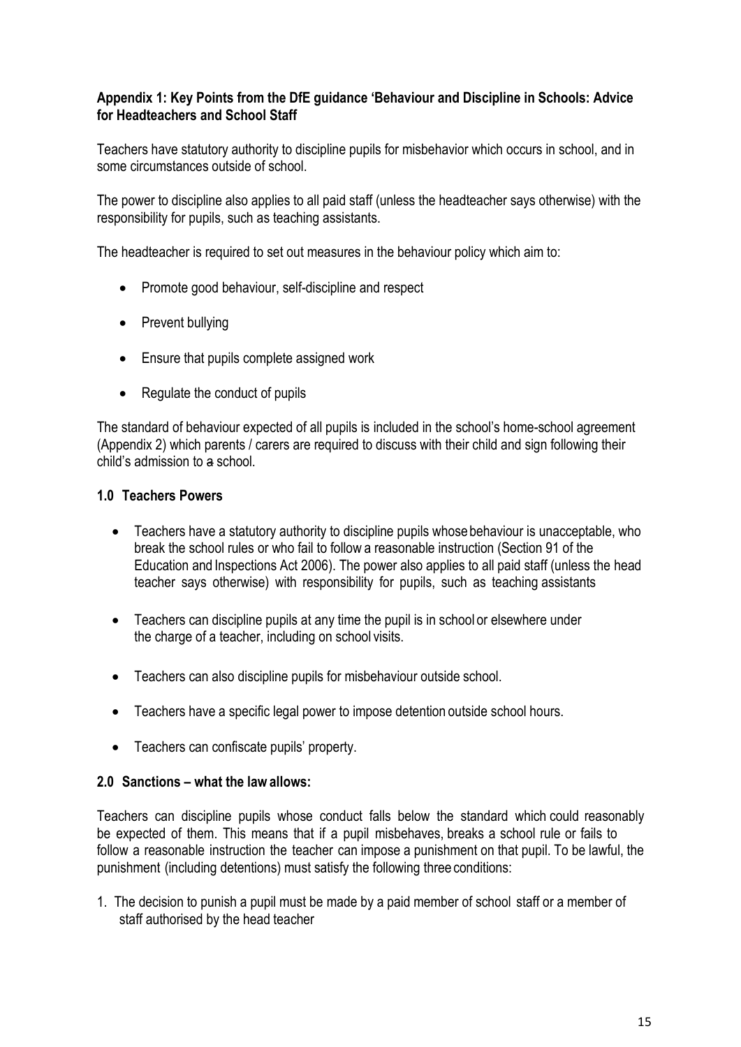## **Appendix 1: Key Points from the DfE guidance 'Behaviour and Discipline in Schools: Advice for Headteachers and School Staff**

Teachers have statutory authority to discipline pupils for misbehavior which occurs in school, and in some circumstances outside of school.

The power to discipline also applies to all paid staff (unless the headteacher says otherwise) with the responsibility for pupils, such as teaching assistants.

The headteacher is required to set out measures in the behaviour policy which aim to:

- Promote good behaviour, self-discipline and respect
- Prevent bullying
- Ensure that pupils complete assigned work
- Regulate the conduct of pupils

The standard of behaviour expected of all pupils is included in the school's home-school agreement (Appendix 2) which parents / carers are required to discuss with their child and sign following their child's admission to a school.

#### **1.0 Teachers Powers**

- Teachers have a statutory authority to discipline pupils whose behaviour is unacceptable, who break the school rules or who fail to follow a reasonable instruction (Section 91 of the Education and Inspections Act 2006). The power also applies to all paid staff (unless the head teacher says otherwise) with responsibility for pupils, such as teaching assistants
- Teachers can discipline pupils at any time the pupil is in school or elsewhere under the charge of a teacher, including on school visits.
- Teachers can also discipline pupils for misbehaviour outside school.
- Teachers have a specific legal power to impose detention outside school hours.
- Teachers can confiscate pupils' property.

#### **2.0 Sanctions – what the lawallows:**

Teachers can discipline pupils whose conduct falls below the standard which could reasonably be expected of them. This means that if a pupil misbehaves, breaks a school rule or fails to follow a reasonable instruction the teacher can impose a punishment on that pupil. To be lawful, the punishment (including detentions) must satisfy the following three conditions:

1. The decision to punish a pupil must be made by a paid member of school staff or a member of staff authorised by the head teacher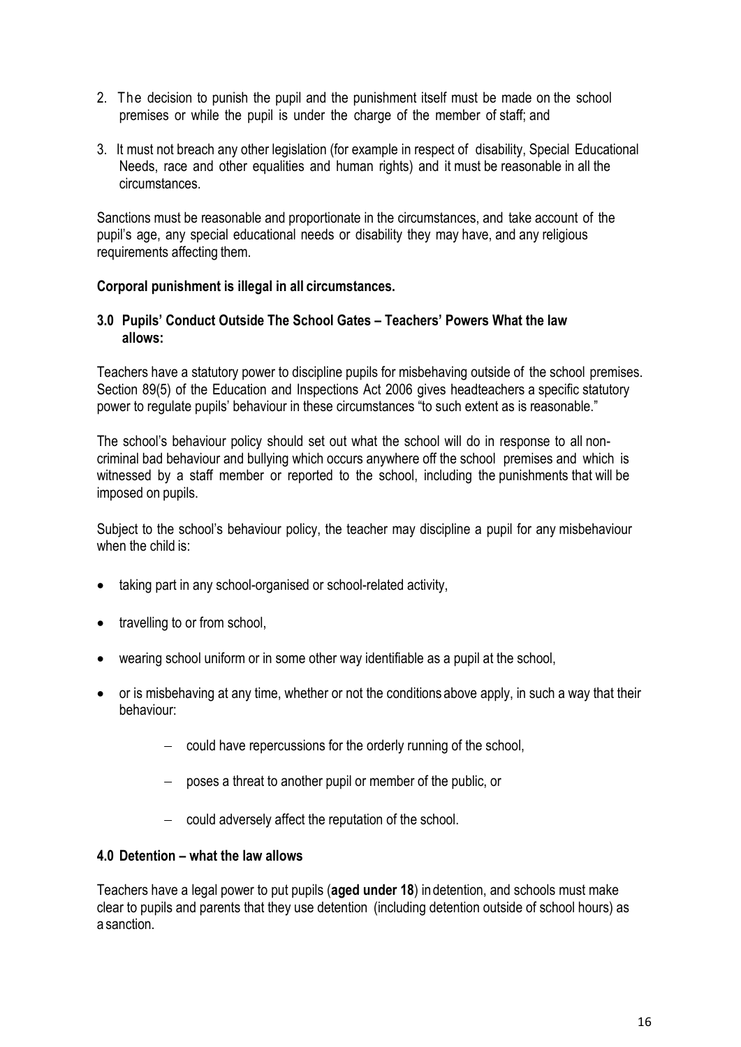- 2. The decision to punish the pupil and the punishment itself must be made on the school premises or while the pupil is under the charge of the member of staff; and
- 3. It must not breach any other legislation (for example in respect of disability, Special Educational Needs, race and other equalities and human rights) and it must be reasonable in all the circumstances.

Sanctions must be reasonable and proportionate in the circumstances, and take account of the pupil's age, any special educational needs or disability they may have, and any religious requirements affecting them.

## **Corporal punishment is illegal in all circumstances.**

#### **3.0 Pupils' Conduct Outside The School Gates – Teachers' Powers What the law allows:**

Teachers have a statutory power to discipline pupils for misbehaving outside of the school premises. Section 89(5) of the Education and Inspections Act 2006 gives headteachers a specific statutory power to regulate pupils' behaviour in these circumstances "to such extent as is reasonable."

The school's behaviour policy should set out what the school will do in response to all noncriminal bad behaviour and bullying which occurs anywhere off the school premises and which is witnessed by a staff member or reported to the school, including the punishments that will be imposed on pupils.

Subject to the school's behaviour policy, the teacher may discipline a pupil for any misbehaviour when the child is:

- taking part in any school-organised or school-related activity,
- travelling to or from school,
- wearing school uniform or in some other way identifiable as a pupil at the school,
- or is misbehaving at any time, whether or not the conditions above apply, in such a way that their behaviour:
	- could have repercussions for the orderly running of the school,
	- poses a threat to another pupil or member of the public, or
	- $\sim$  could adversely affect the reputation of the school.

#### **4.0 Detention – what the law allows**

Teachers have a legal power to put pupils (**aged under 18**) indetention, and schools must make clear to pupils and parents that they use detention (including detention outside of school hours) as a sanction.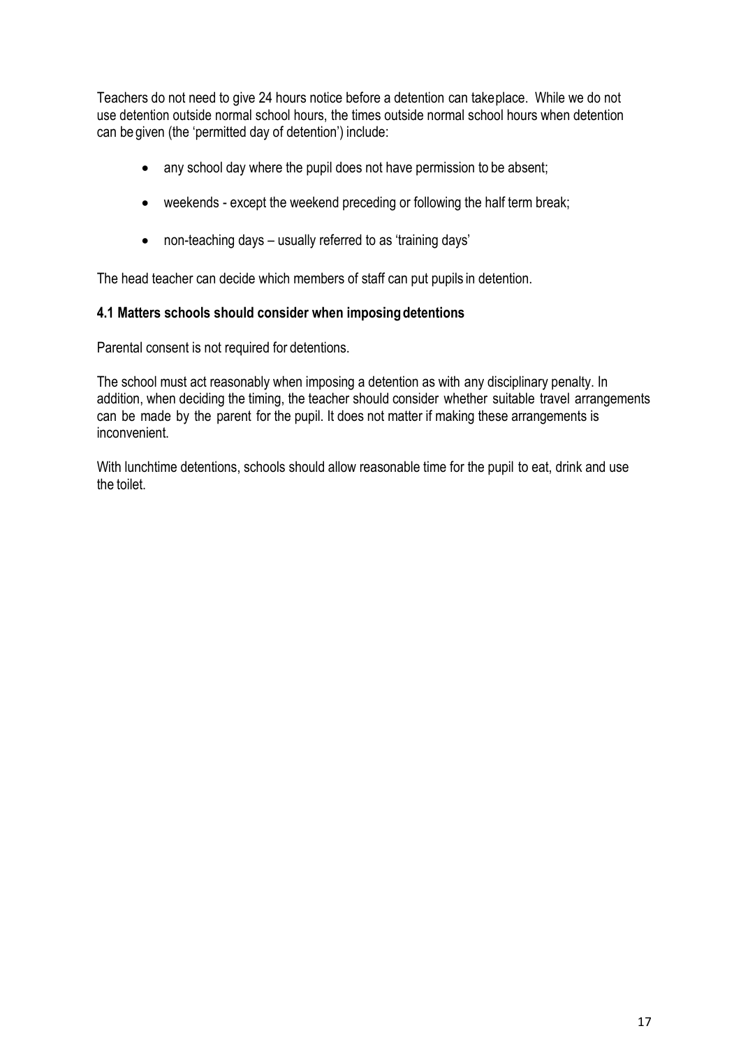Teachers do not need to give 24 hours notice before a detention can takeplace. While we do not use detention outside normal school hours, the times outside normal school hours when detention can be given (the 'permitted day of detention') include:

- any school day where the pupil does not have permission to be absent;
- weekends except the weekend preceding or following the half term break;
- non-teaching days usually referred to as 'training days'

The head teacher can decide which members of staff can put pupils in detention.

## **4.1 Matters schools should consider when imposingdetentions**

Parental consent is not required for detentions.

The school must act reasonably when imposing a detention as with any disciplinary penalty. In addition, when deciding the timing, the teacher should consider whether suitable travel arrangements can be made by the parent for the pupil. It does not matter if making these arrangements is inconvenient.

With lunchtime detentions, schools should allow reasonable time for the pupil to eat, drink and use the toilet.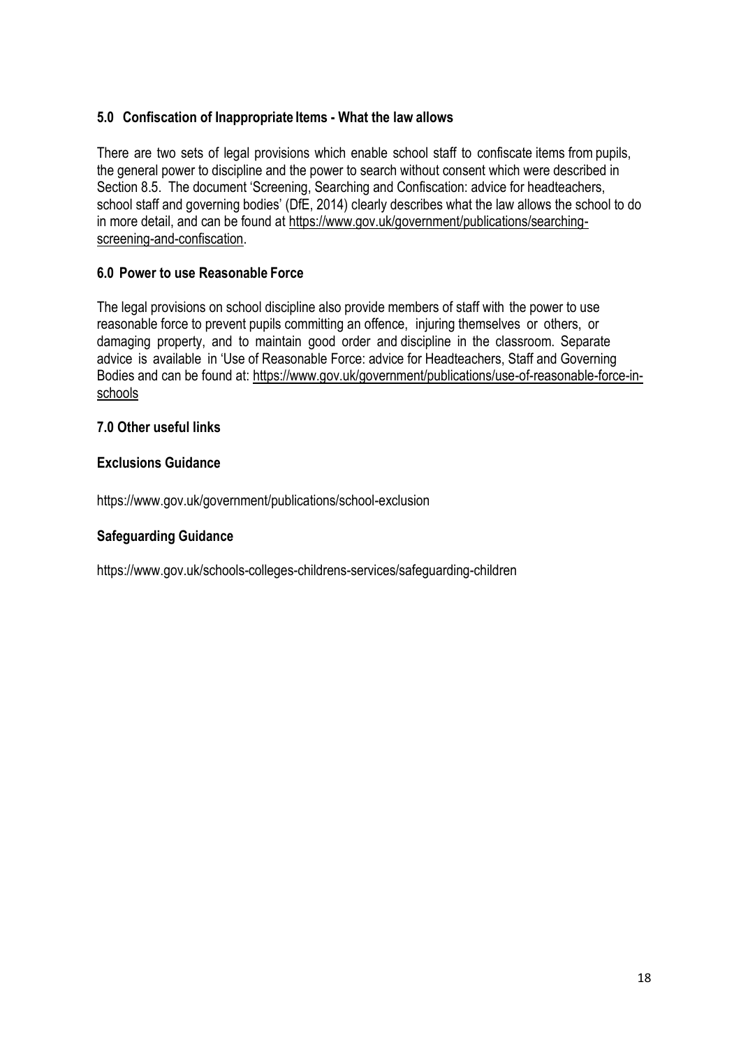# **5.0 Confiscation of Inappropriate Items - What the law allows**

There are two sets of legal provisions which enable school staff to confiscate items from pupils, the general power to discipline and the power to search without consent which were described in Section 8.5. The document 'Screening, Searching and Confiscation: advice for headteachers, school staff and governing bodies' (DfE, 2014) clearly describes what the law allows the school to do in more detail, and can be found at [https://www.gov.uk/government/publications/searching](https://www.gov.uk/government/publications/searching-screening-and-confiscation)[screening-and-confiscation.](https://www.gov.uk/government/publications/searching-screening-and-confiscation)

# **6.0 Power to use Reasonable Force**

The legal provisions on school discipline also provide members of staff with the power to use reasonable force to prevent pupils committing an offence, injuring themselves or others, or damaging property, and to maintain good order and discipline in the classroom. Separate advice is available in 'Use of Reasonable Force: advice for Headteachers, Staff and Governing Bodies and can be found at: [https://www.gov.uk/government/publications/use-of-reasonable-force-in](https://www.gov.uk/government/publications/use-of-reasonable-force-in-schools)[schools](https://www.gov.uk/government/publications/use-of-reasonable-force-in-schools)

## **7.0 Other useful links**

## **Exclusions Guidance**

https://www.gov.uk/government/publications/school-exclusion

## **Safeguarding Guidance**

https://www.gov.uk/schools-colleges-childrens-services/safeguarding-children